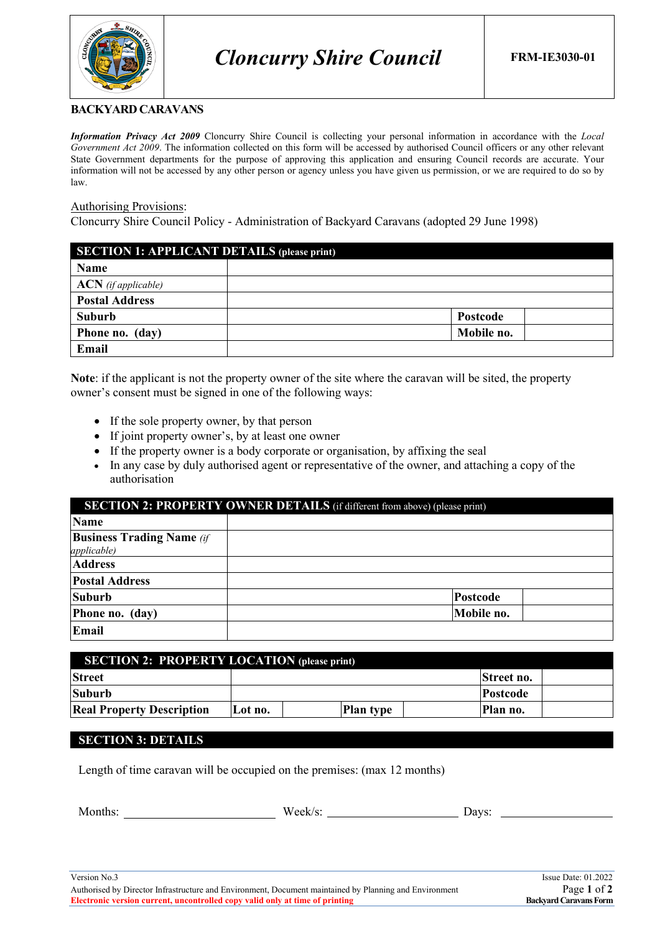

### **BACKYARD CARAVANS**

*Information Privacy Act 2009* Cloncurry Shire Council is collecting your personal information in accordance with the *Local Government Act 2009*. The information collected on this form will be accessed by authorised Council officers or any other relevant State Government departments for the purpose of approving this application and ensuring Council records are accurate. Your information will not be accessed by any other person or agency unless you have given us permission, or we are required to do so by law.

#### Authorising Provisions:

Cloncurry Shire Council Policy - Administration of Backyard Caravans (adopted 29 June 1998)

| <b>SECTION 1: APPLICANT DETAILS (please print)</b> |            |  |
|----------------------------------------------------|------------|--|
| Name                                               |            |  |
| $ACN$ (if applicable)                              |            |  |
| <b>Postal Address</b>                              |            |  |
| Suburb                                             | Postcode   |  |
| Phone no. (day)                                    | Mobile no. |  |
| Email                                              |            |  |

**Note**: if the applicant is not the property owner of the site where the caravan will be sited, the property owner's consent must be signed in one of the following ways:

- If the sole property owner, by that person
- If joint property owner's, by at least one owner
- If the property owner is a body corporate or organisation, by affixing the seal
- In any case by duly authorised agent or representative of the owner, and attaching a copy of the authorisation

| <b>SECTION 2: PROPERTY OWNER DETAILS</b> (if different from above) (please print) |            |  |
|-----------------------------------------------------------------------------------|------------|--|
| <b>Name</b>                                                                       |            |  |
| <b>Business Trading Name</b> (if                                                  |            |  |
| <i>applicable</i> )                                                               |            |  |
| <b>Address</b>                                                                    |            |  |
| <b>Postal Address</b>                                                             |            |  |
| <b>Suburb</b>                                                                     | Postcode   |  |
| Phone no. (day)                                                                   | Mobile no. |  |
| Email                                                                             |            |  |

| <b>SECTION 2: PROPERTY LOCATION (please print)</b> |         |                  |                 |
|----------------------------------------------------|---------|------------------|-----------------|
| <b>Street</b>                                      |         |                  | Street no.      |
| <b>Suburb</b>                                      |         |                  | <b>Postcode</b> |
| <b>Real Property Description</b>                   | Lot no. | <b>Plan type</b> | Plan no.        |

### **SECTION 3: DETAILS**

Length of time caravan will be occupied on the premises: (max 12 months)

| ---<br>w<br>້ | 1037c<br>-- |
|---------------|-------------|
|               |             |

Authorised by Director Infrastructure and Environment, Document maintained by Planning and Environment Page **1** of **2 Electronic version current, uncontrolled copy valid only at time of printing**